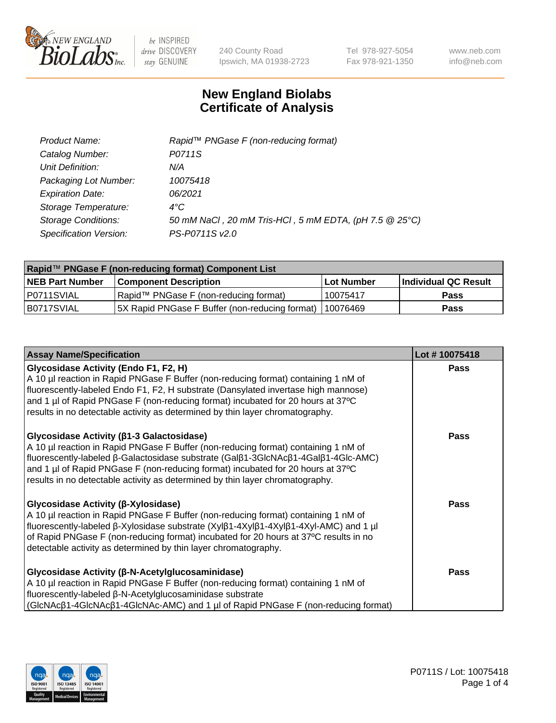

240 County Road Ipswich, MA 01938-2723 Tel 978-927-5054 Fax 978-921-1350 www.neb.com info@neb.com

## **New England Biolabs Certificate of Analysis**

| Product Name:              | Rapid <sup>™</sup> PNGase F (non-reducing format)      |
|----------------------------|--------------------------------------------------------|
| Catalog Number:            | P0711S                                                 |
| Unit Definition:           | N/A                                                    |
| Packaging Lot Number:      | 10075418                                               |
| <b>Expiration Date:</b>    | 06/2021                                                |
| Storage Temperature:       | $4^{\circ}C$                                           |
| <b>Storage Conditions:</b> | 50 mM NaCl, 20 mM Tris-HCl, 5 mM EDTA, (pH 7.5 @ 25°C) |
| Specification Version:     | PS-P0711S v2.0                                         |

| Rapid™ PNGase F (non-reducing format) Component List |                                                |             |                      |  |
|------------------------------------------------------|------------------------------------------------|-------------|----------------------|--|
| <b>NEB Part Number</b>                               | <b>Component Description</b>                   | ⊺Lot Number | Individual QC Result |  |
| I P0711SVIAL                                         | Rapid™ PNGase F (non-reducing format)          | 10075417    | <b>Pass</b>          |  |
| IB0717SVIAL                                          | 5X Rapid PNGase F Buffer (non-reducing format) | 110076469   | <b>Pass</b>          |  |

| <b>Assay Name/Specification</b>                                                                                                                                                                                                                                                                                                                                                                 | Lot #10075418 |
|-------------------------------------------------------------------------------------------------------------------------------------------------------------------------------------------------------------------------------------------------------------------------------------------------------------------------------------------------------------------------------------------------|---------------|
| <b>Glycosidase Activity (Endo F1, F2, H)</b><br>A 10 µl reaction in Rapid PNGase F Buffer (non-reducing format) containing 1 nM of<br>fluorescently-labeled Endo F1, F2, H substrate (Dansylated invertase high mannose)<br>and 1 µl of Rapid PNGase F (non-reducing format) incubated for 20 hours at 37°C<br>results in no detectable activity as determined by thin layer chromatography.    | <b>Pass</b>   |
| <b>Glycosidase Activity (β1-3 Galactosidase)</b><br>A 10 µl reaction in Rapid PNGase F Buffer (non-reducing format) containing 1 nM of<br>fluorescently-labeled β-Galactosidase substrate (Galβ1-3GlcNAcβ1-4Galβ1-4Glc-AMC)<br>and 1 µl of Rapid PNGase F (non-reducing format) incubated for 20 hours at 37°C<br>results in no detectable activity as determined by thin layer chromatography. | Pass          |
| <b>Glycosidase Activity (β-Xylosidase)</b><br>A 10 µl reaction in Rapid PNGase F Buffer (non-reducing format) containing 1 nM of<br>fluorescently-labeled β-Xylosidase substrate (Xylβ1-4Xylβ1-4Xylβ1-4Xyl-AMC) and 1 µl<br>of Rapid PNGase F (non-reducing format) incubated for 20 hours at 37°C results in no<br>detectable activity as determined by thin layer chromatography.             | <b>Pass</b>   |
| <b>Glycosidase Activity (β-N-Acetylglucosaminidase)</b><br>A 10 µl reaction in Rapid PNGase F Buffer (non-reducing format) containing 1 nM of<br>fluorescently-labeled β-N-Acetylglucosaminidase substrate<br>(GIcNAcβ1-4GIcNAcβ1-4GIcNAc-AMC) and 1 µl of Rapid PNGase F (non-reducing format)                                                                                                 | Pass          |

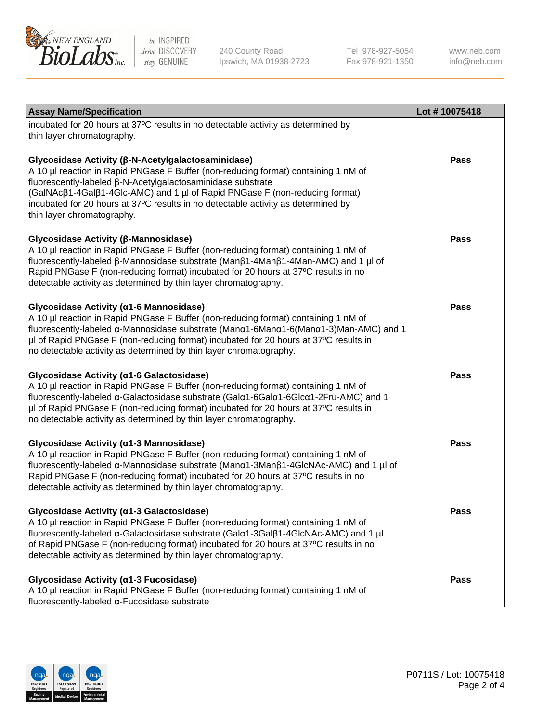

240 County Road Ipswich, MA 01938-2723 Tel 978-927-5054 Fax 978-921-1350

www.neb.com info@neb.com

| <b>Assay Name/Specification</b>                                                                                                                                                                                                                                                                                                                                                                           | Lot #10075418 |
|-----------------------------------------------------------------------------------------------------------------------------------------------------------------------------------------------------------------------------------------------------------------------------------------------------------------------------------------------------------------------------------------------------------|---------------|
| incubated for 20 hours at 37°C results in no detectable activity as determined by<br>thin layer chromatography.                                                                                                                                                                                                                                                                                           |               |
| Glycosidase Activity (β-N-Acetylgalactosaminidase)<br>A 10 µl reaction in Rapid PNGase F Buffer (non-reducing format) containing 1 nM of<br>fluorescently-labeled β-N-Acetylgalactosaminidase substrate<br>(GalNAcβ1-4Galβ1-4Glc-AMC) and 1 µl of Rapid PNGase F (non-reducing format)<br>incubated for 20 hours at 37°C results in no detectable activity as determined by<br>thin layer chromatography. | Pass          |
| Glycosidase Activity (β-Mannosidase)<br>A 10 µl reaction in Rapid PNGase F Buffer (non-reducing format) containing 1 nM of<br>fluorescently-labeled β-Mannosidase substrate (Manβ1-4Manβ1-4Man-AMC) and 1 µl of<br>Rapid PNGase F (non-reducing format) incubated for 20 hours at 37°C results in no<br>detectable activity as determined by thin layer chromatography.                                   | Pass          |
| Glycosidase Activity (a1-6 Mannosidase)<br>A 10 µl reaction in Rapid PNGase F Buffer (non-reducing format) containing 1 nM of<br>fluorescently-labeled α-Mannosidase substrate (Μanα1-6Μanα1-6(Μanα1-3)Man-AMC) and 1<br>µl of Rapid PNGase F (non-reducing format) incubated for 20 hours at 37°C results in<br>no detectable activity as determined by thin layer chromatography.                       | Pass          |
| Glycosidase Activity (α1-6 Galactosidase)<br>A 10 µl reaction in Rapid PNGase F Buffer (non-reducing format) containing 1 nM of<br>fluorescently-labeled α-Galactosidase substrate (Galα1-6Galα1-6Glcα1-2Fru-AMC) and 1<br>µl of Rapid PNGase F (non-reducing format) incubated for 20 hours at 37°C results in<br>no detectable activity as determined by thin layer chromatography.                     | <b>Pass</b>   |
| Glycosidase Activity (α1-3 Mannosidase)<br>A 10 µl reaction in Rapid PNGase F Buffer (non-reducing format) containing 1 nM of<br>fluorescently-labeled α-Mannosidase substrate (Manα1-3Manβ1-4GlcNAc-AMC) and 1 µl of<br>Rapid PNGase F (non-reducing format) incubated for 20 hours at 37°C results in no<br>detectable activity as determined by thin layer chromatography.                             | <b>Pass</b>   |
| Glycosidase Activity (α1-3 Galactosidase)<br>A 10 µl reaction in Rapid PNGase F Buffer (non-reducing format) containing 1 nM of<br>fluorescently-labeled α-Galactosidase substrate (Galα1-3Galβ1-4GlcNAc-AMC) and 1 µl<br>of Rapid PNGase F (non-reducing format) incubated for 20 hours at 37°C results in no<br>detectable activity as determined by thin layer chromatography.                         | Pass          |
| Glycosidase Activity (α1-3 Fucosidase)<br>A 10 µl reaction in Rapid PNGase F Buffer (non-reducing format) containing 1 nM of<br>fluorescently-labeled α-Fucosidase substrate                                                                                                                                                                                                                              | Pass          |

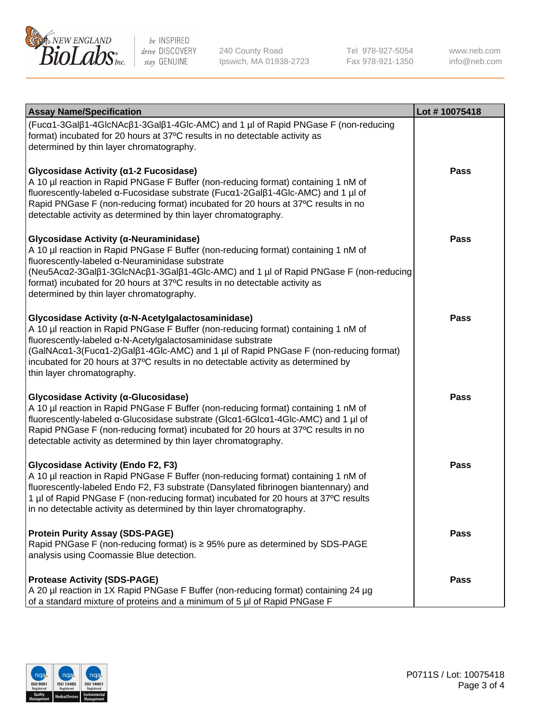

240 County Road Ipswich, MA 01938-2723 Tel 978-927-5054 Fax 978-921-1350

www.neb.com info@neb.com

| <b>Assay Name/Specification</b>                                                                                                                                                                                                                                                                                                                                                                                    | Lot #10075418 |
|--------------------------------------------------------------------------------------------------------------------------------------------------------------------------------------------------------------------------------------------------------------------------------------------------------------------------------------------------------------------------------------------------------------------|---------------|
| (Fucα1-3Galβ1-4GlcNAcβ1-3Galβ1-4Glc-AMC) and 1 µl of Rapid PNGase F (non-reducing<br>format) incubated for 20 hours at 37°C results in no detectable activity as<br>determined by thin layer chromatography.                                                                                                                                                                                                       |               |
| Glycosidase Activity (α1-2 Fucosidase)<br>A 10 µl reaction in Rapid PNGase F Buffer (non-reducing format) containing 1 nM of<br>fluorescently-labeled α-Fucosidase substrate (Fucα1-2Galβ1-4Glc-AMC) and 1 µl of<br>Rapid PNGase F (non-reducing format) incubated for 20 hours at 37°C results in no<br>detectable activity as determined by thin layer chromatography.                                           | <b>Pass</b>   |
| Glycosidase Activity (α-Neuraminidase)<br>A 10 µl reaction in Rapid PNGase F Buffer (non-reducing format) containing 1 nM of<br>fluorescently-labeled α-Neuraminidase substrate<br>(Neu5Acα2-3Galβ1-3GlcNAcβ1-3Galβ1-4Glc-AMC) and 1 µl of Rapid PNGase F (non-reducing<br>format) incubated for 20 hours at 37°C results in no detectable activity as<br>determined by thin layer chromatography.                 | <b>Pass</b>   |
| Glycosidase Activity (α-N-Acetylgalactosaminidase)<br>A 10 µl reaction in Rapid PNGase F Buffer (non-reducing format) containing 1 nM of<br>fluorescently-labeled a-N-Acetylgalactosaminidase substrate<br>(GalNAcα1-3(Fucα1-2)Galβ1-4Glc-AMC) and 1 µl of Rapid PNGase F (non-reducing format)<br>incubated for 20 hours at 37°C results in no detectable activity as determined by<br>thin layer chromatography. | <b>Pass</b>   |
| Glycosidase Activity (α-Glucosidase)<br>A 10 µl reaction in Rapid PNGase F Buffer (non-reducing format) containing 1 nM of<br>fluorescently-labeled α-Glucosidase substrate (Glcα1-6Glcα1-4Glc-AMC) and 1 µl of<br>Rapid PNGase F (non-reducing format) incubated for 20 hours at 37°C results in no<br>detectable activity as determined by thin layer chromatography.                                            | <b>Pass</b>   |
| <b>Glycosidase Activity (Endo F2, F3)</b><br>A 10 µl reaction in Rapid PNGase F Buffer (non-reducing format) containing 1 nM of<br>fluorescently-labeled Endo F2, F3 substrate (Dansylated fibrinogen biantennary) and<br>1 µl of Rapid PNGase F (non-reducing format) incubated for 20 hours at 37°C results<br>in no detectable activity as determined by thin layer chromatography.                             | <b>Pass</b>   |
| <b>Protein Purity Assay (SDS-PAGE)</b><br>Rapid PNGase F (non-reducing format) is ≥ 95% pure as determined by SDS-PAGE<br>analysis using Coomassie Blue detection.                                                                                                                                                                                                                                                 | Pass          |
| <b>Protease Activity (SDS-PAGE)</b><br>A 20 µl reaction in 1X Rapid PNGase F Buffer (non-reducing format) containing 24 µg<br>of a standard mixture of proteins and a minimum of 5 µl of Rapid PNGase F                                                                                                                                                                                                            | <b>Pass</b>   |